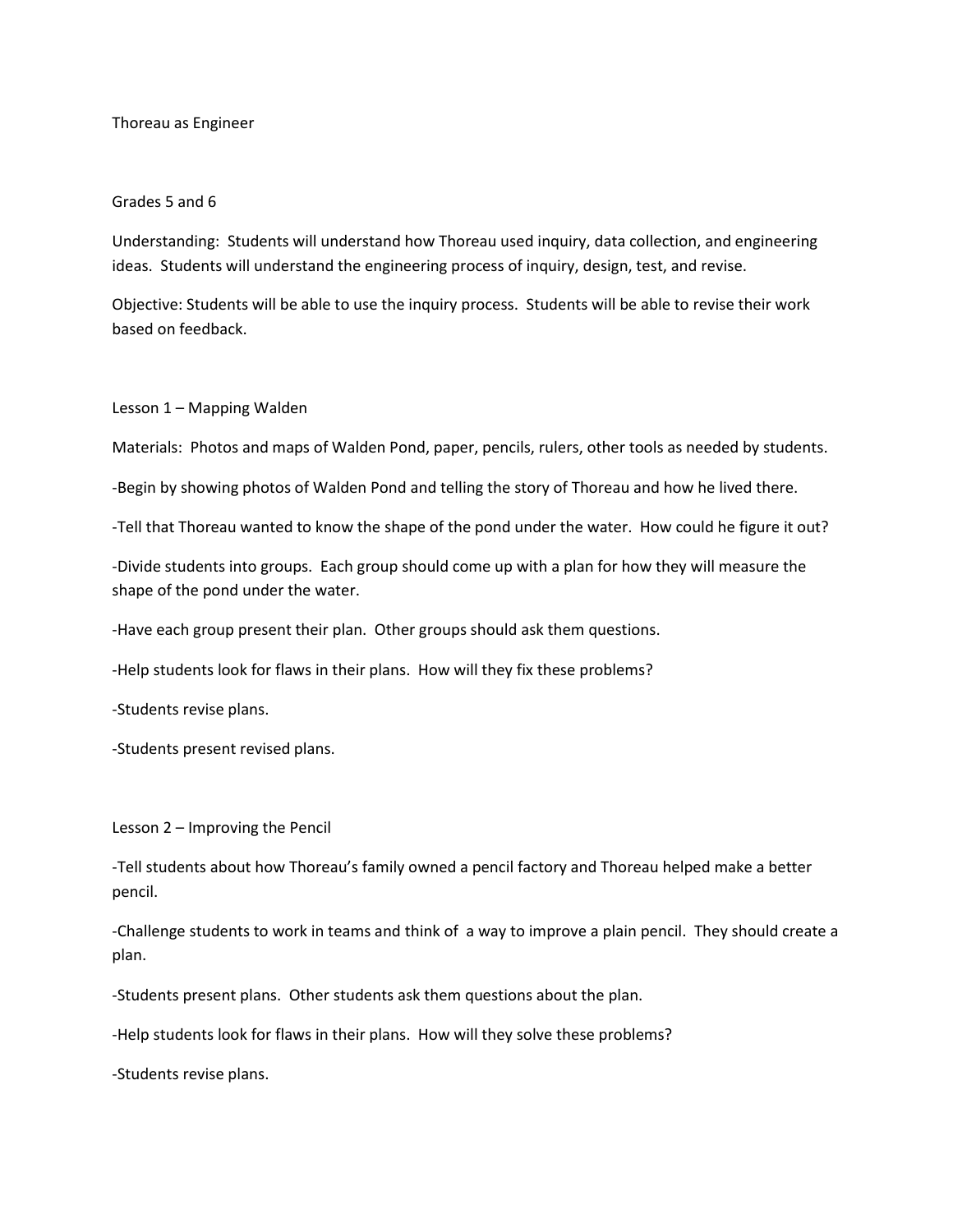## Thoreau as Engineer

## Grades 5 and 6

Understanding: Students will understand how Thoreau used inquiry, data collection, and engineering ideas. Students will understand the engineering process of inquiry, design, test, and revise.

Objective: Students will be able to use the inquiry process. Students will be able to revise their work based on feedback.

## Lesson 1 – Mapping Walden

Materials: Photos and maps of Walden Pond, paper, pencils, rulers, other tools as needed by students.

-Begin by showing photos of Walden Pond and telling the story of Thoreau and how he lived there.

-Tell that Thoreau wanted to know the shape of the pond under the water. How could he figure it out?

-Divide students into groups. Each group should come up with a plan for how they will measure the shape of the pond under the water.

-Have each group present their plan. Other groups should ask them questions.

-Help students look for flaws in their plans. How will they fix these problems?

-Students revise plans.

-Students present revised plans.

Lesson 2 – Improving the Pencil

-Tell students about how Thoreau's family owned a pencil factory and Thoreau helped make a better pencil.

-Challenge students to work in teams and think of a way to improve a plain pencil. They should create a plan.

-Students present plans. Other students ask them questions about the plan.

-Help students look for flaws in their plans. How will they solve these problems?

-Students revise plans.